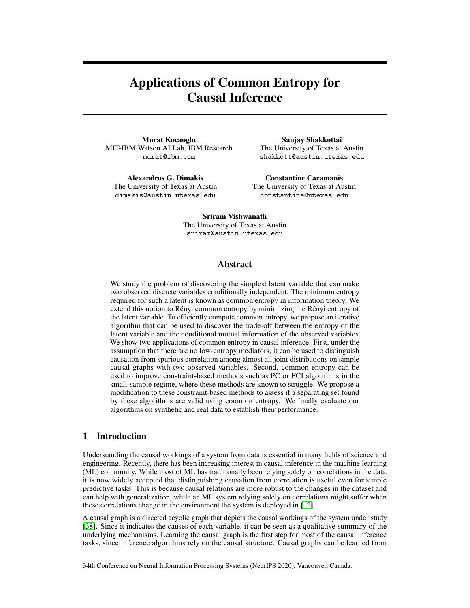# Applications of Common Entropy for Causal Inference

Murat Kocaoglu MIT-IBM Watson AI Lab, IBM Research murat@ibm.com

Alexandros G. Dimakis The University of Texas at Austin dimakis@austin.utexas.edu

Sanjay Shakkottai The University of Texas at Austin shakkott@austin.utexas.edu

Constantine Caramanis The University of Texas at Austin constantine@utexas.edu

Sriram Vishwanath The University of Texas at Austin sriram@austin.utexas.edu

## Abstract

We study the problem of discovering the simplest latent variable that can make two observed discrete variables conditionally independent. The minimum entropy required for such a latent is known as common entropy in information theory. We extend this notion to Rényi common entropy by minimizing the Rényi entropy of the latent variable. To efficiently compute common entropy, we propose an iterative algorithm that can be used to discover the trade-off between the entropy of the latent variable and the conditional mutual information of the observed variables. We show two applications of common entropy in causal inference: First, under the assumption that there are no low-entropy mediators, it can be used to distinguish causation from spurious correlation among almost all joint distributions on simple causal graphs with two observed variables. Second, common entropy can be used to improve constraint-based methods such as PC or FCI algorithms in the small-sample regime, where these methods are known to struggle. We propose a modification to these constraint-based methods to assess if a separating set found by these algorithms are valid using common entropy. We finally evaluate our algorithms on synthetic and real data to establish their performance.

# 1 Introduction

Understanding the causal workings of a system from data is essential in many fields of science and engineering. Recently, there has been increasing interest in causal inference in the machine learning (ML) community. While most of ML has traditionally been relying solely on correlations in the data, it is now widely accepted that distinguishing causation from correlation is useful even for simple predictive tasks. This is because causal relations are more robust to the changes in the dataset and can help with generalization, while an ML system relying solely on correlations might suffer when these correlations change in the environment the system is deployed in [\[12\]](#page-9-0).

A causal graph is a directed acyclic graph that depicts the causal workings of the system under study [\[38\]](#page-10-0). Since it indicates the causes of each variable, it can be seen as a qualitative summary of the underlying mechanisms. Learning the causal graph is the first step for most of the causal inference tasks, since inference algorithms rely on the causal structure. Causal graphs can be learned from

34th Conference on Neural Information Processing Systems (NeurIPS 2020), Vancouver, Canada.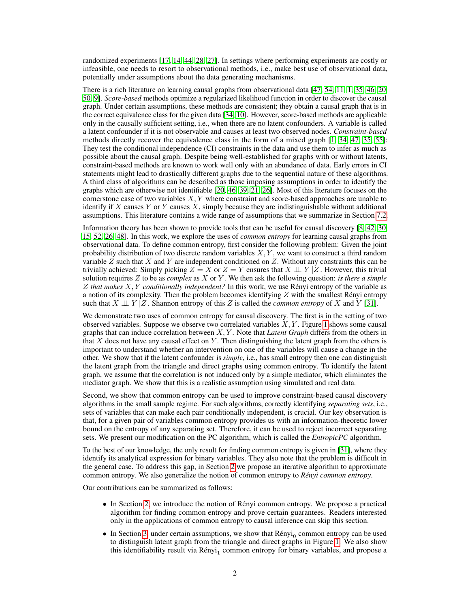randomized experiments [\[17,](#page-9-1) [14,](#page-9-2) [44,](#page-11-0) [28,](#page-10-1) [27\]](#page-10-2). In settings where performing experiments are costly or infeasible, one needs to resort to observational methods, i.e., make best use of observational data, potentially under assumptions about the data generating mechanisms.

There is a rich literature on learning causal graphs from observational data [\[47,](#page-11-1) [54,](#page-11-2) [11,](#page-9-3) [1,](#page-9-4) [35,](#page-10-3) [46,](#page-11-3) [20,](#page-10-4) [50,](#page-11-4) [9\]](#page-9-5). *Score-based* methods optimize a regularized likelihood function in order to discover the causal graph. Under certain assumptions, these methods are consistent; they obtain a causal graph that is in the correct equivalence class for the given data [\[34,](#page-10-5) [10\]](#page-9-6). However, score-based methods are applicable only in the causally sufficient setting, i.e., when there are no latent confounders. A variable is called a latent confounder if it is not observable and causes at least two observed nodes. *Constraint-based* methods directly recover the equivalence class in the form of a mixed graph [\[1,](#page-9-4) [34,](#page-10-5) [47,](#page-11-1) [35,](#page-10-3) [55\]](#page-11-5): They test the conditional independence (CI) constraints in the data and use them to infer as much as possible about the causal graph. Despite being well-established for graphs with or without latents, constraint-based methods are known to work well only with an abundance of data. Early errors in CI statements might lead to drastically different graphs due to the sequential nature of these algorithms. A third class of algorithms can be described as those imposing assumptions in order to identify the graphs which are otherwise not identifiable [\[20,](#page-10-4) [46,](#page-11-3) [39,](#page-11-6) [21,](#page-10-6) [26\]](#page-10-7). Most of this literature focuses on the cornerstone case of two variables  $X, Y$  where constraint and score-based approaches are unable to identify if  $X$  causes  $Y$  or  $Y$  causes  $X$ , simply because they are indistinguishable without additional assumptions. This literature contains a wide range of assumptions that we summarize in Section [7.2.](#page--1-0)

Information theory has been shown to provide tools that can be useful for causal discovery [\[8,](#page-9-7) [42,](#page-11-7) [30,](#page-10-8) [15,](#page-9-8) [52,](#page-11-8) [26,](#page-10-7) [48\]](#page-11-9). In this work, we explore the uses of *common entropy* for learning causal graphs from observational data. To define common entropy, first consider the following problem: Given the joint probability distribution of two discrete random variables  $X, Y$ , we want to construct a third random variable  $Z$  such that  $X$  and  $Y$  are independent conditioned on  $Z$ . Without any constraints this can be trivially achieved: Simply picking  $Z = X$  or  $Z = Y$  ensures that  $X \perp Y/Z$ . However, this trivial solution requires Z to be as *complex* as X or Y . We then ask the following question: *is there a simple* Z *that makes* X, Y *conditionally independent?* In this work, we use Rényi entropy of the variable as a notion of its complexity. Then the problem becomes identifying  $Z$  with the smallest Rényi entropy such that  $X \perp \!\!\!\perp Y \mid Z$ . Shannon entropy of this Z is called the *common entropy* of X and Y [\[31\]](#page-10-9).

We demonstrate two uses of common entropy for causal discovery. The first is in the setting of two observed variables. Suppose we observe two correlated variables  $X, Y$ . Figure [1](#page-2-0) shows some causal graphs that can induce correlation between X, Y . Note that *Latent Graph* differs from the others in that  $X$  does not have any causal effect on  $Y$ . Then distinguishing the latent graph from the others is important to understand whether an intervention on one of the variables will cause a change in the other. We show that if the latent confounder is *simple*, i.e., has small entropy then one can distinguish the latent graph from the triangle and direct graphs using common entropy. To identify the latent graph, we assume that the correlation is not induced only by a simple mediator, which eliminates the mediator graph. We show that this is a realistic assumption using simulated and real data.

Second, we show that common entropy can be used to improve constraint-based causal discovery algorithms in the small sample regime. For such algorithms, correctly identifying *separating sets*, i.e., sets of variables that can make each pair conditionally independent, is crucial. Our key observation is that, for a given pair of variables common entropy provides us with an information-theoretic lower bound on the entropy of any separating set. Therefore, it can be used to reject incorrect separating sets. We present our modification on the PC algorithm, which is called the *EntropicPC* algorithm.

To the best of our knowledge, the only result for finding common entropy is given in [\[31\]](#page-10-9), where they identify its analytical expression for binary variables. They also note that the problem is difficult in the general case. To address this gap, in Section [2](#page-2-1) we propose an iterative algorithm to approximate common entropy. We also generalize the notion of common entropy to *Rényi common entropy*.

Our contributions can be summarized as follows:

- In Section [2,](#page-2-1) we introduce the notion of Rényi common entropy. We propose a practical algorithm for finding common entropy and prove certain guarantees. Readers interested only in the applications of common entropy to causal inference can skip this section.
- $\bullet$  In Section [3,](#page-3-0) under certain assumptions, we show that  $\mathsf{R\'enyi}_0$  common entropy can be used to distinguish latent graph from the triangle and direct graphs in Figure [1.](#page-2-0) We also show this identifiability result via  $Rényi_1$  common entropy for binary variables, and propose a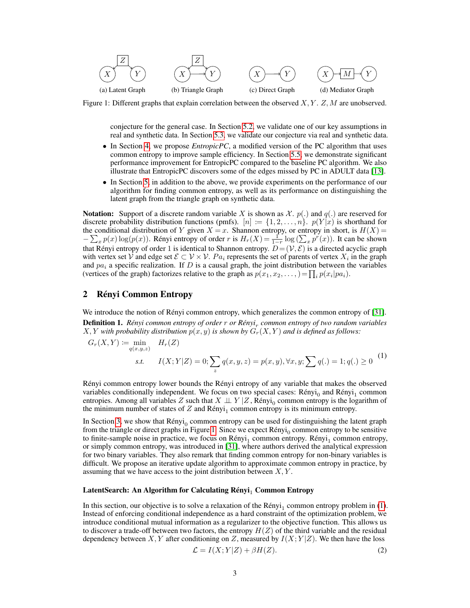<span id="page-2-0"></span>

Figure 1: Different graphs that explain correlation between the observed  $X, Y, Z, M$  are unobserved.

conjecture for the general case. In Section [5.2,](#page-6-0) we validate one of our key assumptions in real and synthetic data. In Section [5.3,](#page-7-0) we validate our conjecture via real and synthetic data.

- In Section [4,](#page-5-0) we propose *EntropicPC*, a modified version of the PC algorithm that uses common entropy to improve sample efficiency. In Section [5.5,](#page-7-1) we demonstrate significant performance improvement for EntropicPC compared to the baseline PC algorithm. We also illustrate that EntropicPC discovers some of the edges missed by PC in ADULT data [\[13\]](#page-9-9).
- In Section [5,](#page-6-1) in addition to the above, we provide experiments on the performance of our algorithm for finding common entropy, as well as its performance on distinguishing the latent graph from the triangle graph on synthetic data.

**Notation:** Support of a discrete random variable X is shown as  $\mathcal{X}$ .  $p(.)$  and  $q(.)$  are reserved for discrete probability distribution functions (pmfs).  $[n] := \{1, 2, \ldots, n\}$ .  $p(Y|x)$  is shorthand for the conditional distribution of Y given  $X = x$ . Shannon entropy, or entropy in short, is  $H(X) =$  $-\sum_{x} p(x) \log(p(x))$ . Rényi entropy of order r is  $H_r(X) = \frac{1}{1-r} \log(\sum_{x} p^r(x))$ . It can be shown that Rényi entropy of order 1 is identical to Shannon entropy.  $D = (V, \mathcal{E})$  is a directed acyclic graph with vertex set V and edge set  $\mathcal{E} \subset \mathcal{V} \times \mathcal{V}$ .  $Pa_i$  represents the set of parents of vertex  $X_i$  in the graph and  $pa<sub>i</sub>$  a specific realization. If D is a causal graph, the joint distribution between the variables (vertices of the graph) factorizes relative to the graph as  $p(x_1, x_2, \dots) = \prod_i p(x_i | pa_i)$ .

# <span id="page-2-1"></span>2 Rényi Common Entropy

We introduce the notion of Rényi common entropy, which generalizes the common entropy of [\[31\]](#page-10-9). Definition 1. *Rényi common entropy of order* r *or Rényi*<sup>r</sup> *common entropy of two random variables*  $X, Y$  *with probability distribution*  $p(x, y)$  *is shown by*  $G_r(X, Y)$  *and is defined as follows:* 

<span id="page-2-2"></span>
$$
G_r(X,Y) := \min_{q(x,y,z)} H_r(Z)
$$
  
s.t.  $I(X;Y|Z) = 0; \sum_z q(x,y,z) = p(x,y), \forall x, y; \sum_z q(.) = 1; q(.) \ge 0$  (1)

Rényi common entropy lower bounds the Rényi entropy of any variable that makes the observed variables conditionally independent. We focus on two special cases:  $Rényi<sub>0</sub>$  and  $Rényi<sub>1</sub>$  common entropies. Among all variables Z such that  $X \perp \!\!\! \perp Y | Z$ , Rényi<sub>0</sub> common entropy is the logarithm of the minimum number of states of  $Z$  and  $\text{Rényi}_1$  common entropy is its minimum entropy.

In Section [3,](#page-3-0) we show that  $\text{Rényi}_0$  common entropy can be used for distinguishing the latent graph from the triangle or direct graphs in Figure [1.](#page-2-0) Since we expect  $Rényi<sub>0</sub>$  common entropy to be sensitive to finite-sample noise in practice, we focus on  $Rényi_1$  common entropy.  $Rényi_1$  common entropy, or simply common entropy, was introduced in [\[31\]](#page-10-9), where authors derived the analytical expression for two binary variables. They also remark that finding common entropy for non-binary variables is difficult. We propose an iterative update algorithm to approximate common entropy in practice, by assuming that we have access to the joint distribution between  $X, Y$ .

#### LatentSearch: An Algorithm for Calculating  $\text{Rényi}_1$  Common Entropy

In this section, our objective is to solve a relaxation of the  $\text{Rényi}_1$  common entropy problem in [\(1\)](#page-2-2). Instead of enforcing conditional independence as a hard constraint of the optimization problem, we introduce conditional mutual information as a regularizer to the objective function. This allows us to discover a trade-off between two factors, the entropy  $H(Z)$  of the third variable and the residual dependency between X, Y after conditioning on Z, measured by  $I(X;Y|Z)$ . We then have the loss

<span id="page-2-3"></span>
$$
\mathcal{L} = I(X;Y|Z) + \beta H(Z). \tag{2}
$$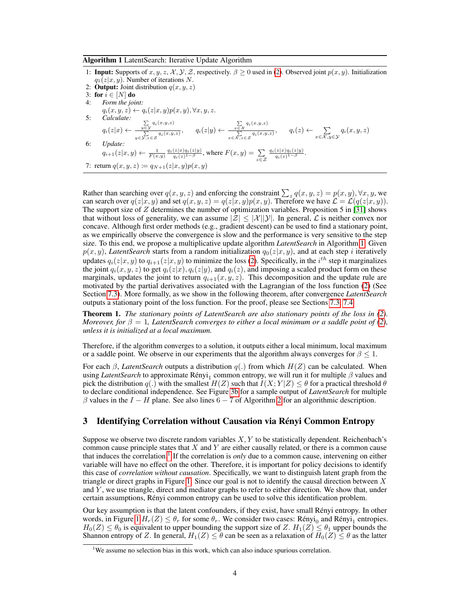#### Algorithm 1 LatentSearch: Iterative Update Algorithm

1: **Input:** Supports of  $x, y, z, \mathcal{X}, \mathcal{Y}, \mathcal{Z}$ , respectively.  $\beta \geq 0$  used in [\(2\)](#page-2-3). Observed joint  $p(x, y)$ . Initialization  $q_1(z|x, y)$ . Number of iterations N. 2: **Output:** Joint distribution  $q(x, y, z)$ 3: for  $i \in [N]$  do 4: *Form the joint:*<br> $q_i(x, y, z) \leftarrow q_i(z|x, y)p(x, y), \forall x, y, z.$  $q_i(x, y, z) \leftarrow q_i(z|x, y)p(x, y), \forall x, y, z.$ 5: *Calculate:*  $q_i(z|x) \leftarrow$  $\sum_{y \in \mathcal{Y}} q_i(x,y,z)$  $\frac{\sum\limits_{y \in \mathcal{Y}} q_i(x,y,z)}{\sum\limits_{y \in \mathcal{Y}, z \in \mathcal{Z}} q_i(x,y,z)},$   $q_i(z|y) \leftarrow \frac{\sum\limits_{x \in \mathcal{X}} q_i(x,y,z)}{\sum\limits_{x \in \mathcal{X}, z \in \mathcal{Z}} q_i(x,y,z)}$  $\frac{x \in \mathcal{X}}{x \in \mathcal{X}, z \in \mathcal{Z}} q_i(x, y, z), \qquad q_i(z) \leftarrow \sum_{x \in \mathcal{X}, y \in \mathcal{Y}} q_i(x, y, z)$ 6: *Update:*  $q_{i+1}(z|x,y) \leftarrow \frac{1}{F(x,y)} \frac{q_i(z|x)q_i(z|y)}{q_i(z)^{1-\beta}}, \text{where } F(x,y) = \sum_{z \in \mathcal{Z}}$  $\frac{q_i(z|x)q_i(z|y)}{q_i(z)^{1-\beta}}.$ 7: return  $q(x, y, z) := q_{N+1}(z|x, y)p(x, y)$ 

<span id="page-3-1"></span>Rather than searching over  $q(x, y, z)$  and enforcing the constraint  $\sum_{z} q(x, y, z) = p(x, y), \forall x, y$ , we can search over  $q(z|x, y)$  and set  $q(x, y, z) = q(z|x, y)p(x, y)$ . Therefore we have  $\mathcal{L} = \mathcal{L}(q(z|x, y))$ . The support size of  $Z$  determines the number of optimization variables. Proposition 5 in [\[31\]](#page-10-9) shows that without loss of generality, we can assume  $|\mathcal{Z}| \leq |\mathcal{X}||\mathcal{Y}|$ . In general,  $\mathcal{L}$  is neither convex nor concave. Although first order methods (e.g., gradient descent) can be used to find a stationary point, as we empirically observe the convergence is slow and the performance is very sensitive to the step size. To this end, we propose a multiplicative update algorithm *LatentSearch* in Algorithm [1.](#page-3-1) Given  $p(x, y)$ , *LatentSearch* starts from a random initialization  $q_0(z|x, y)$ , and at each step i iteratively updates  $q_i(z|x, y)$  to  $q_{i+1}(z|x, y)$  to minimize the loss [\(2\)](#page-2-3). Specifically, in the  $i^{th}$  step it marginalizes the joint  $q_i(x, y, z)$  to get  $q_i(z|x), q_i(z|y)$ , and  $q_i(z)$ , and imposing a scaled product form on these marginals, updates the joint to return  $q_{i+1}(x, y, z)$ . This decomposition and the update rule are motivated by the partial derivatives associated with the Lagrangian of the loss function [\(2\)](#page-2-3) (See Section [7.3\)](#page--1-1). More formally, as we show in the following theorem, after convergence *LatentSearch* outputs a stationary point of the loss function. For the proof, please see Sections [7.3,](#page--1-1) [7.4.](#page--1-2)

Theorem 1. *The stationary points of LatentSearch are also stationary points of the loss in [\(2\)](#page-2-3). Moreover, for*  $\beta = 1$ *, LatentSearch converges to either a local minimum or a saddle point of* [\(2\)](#page-2-3)*, unless it is initialized at a local maximum.*

Therefore, if the algorithm converges to a solution, it outputs either a local minimum, local maximum or a saddle point. We observe in our experiments that the algorithm always converges for  $\beta \leq 1$ .

For each  $\beta$ , *LatentSearch* outputs a distribution  $q(.)$  from which  $H(Z)$  can be calculated. When using *LatentSearch* to approximate  $\text{Rényi}_1$  common entropy, we will run it for multiple  $\beta$  values and pick the distribution q(.) with the smallest  $H(Z)$  such that  $I(X; Y|Z) \leq \theta$  for a practical threshold  $\theta$ to declare conditional independence. See Figure [3b](#page-7-2) for a sample output of *LatentSearch* for multiple  $\beta$  values in the  $I - H$  plane. See also lines 6 − 7 of Algorithm [2](#page-5-1) for an algorithmic description.

## <span id="page-3-0"></span>3 Identifying Correlation without Causation via Rényi Common Entropy

Suppose we observe two discrete random variables  $X, Y$  to be statistically dependent. Reichenbach's common cause principle states that  $X$  and  $Y$  are either causally related, or there is a common cause that induces the correlation.<sup>[1](#page-3-2)</sup> If the correlation is *only* due to a common cause, intervening on either variable will have no effect on the other. Therefore, it is important for policy decisions to identify this case of *correlation without causation*. Specifically, we want to distinguish latent graph from the triangle or direct graphs in Figure [1.](#page-2-0) Since our goal is not to identify the causal direction between  $X$ and Y, we use triangle, direct and mediator graphs to refer to either direction. We show that, under certain assumptions, Rényi common entropy can be used to solve this identification problem.

Our key assumption is that the latent confounders, if they exist, have small Rényi entropy. In other words, in Figure [1](#page-2-0)  $H_r(Z) \leq \theta_r$  for some  $\theta_r$ . We consider two cases: Rényi<sub>0</sub> and Rényi<sub>1</sub> entropies.  $H_0(Z) \leq \theta_0$  is equivalent to upper bounding the support size of Z.  $H_1(Z) \leq \theta_1$  upper bounds the Shannon entropy of Z. In general,  $H_1(Z) \leq \theta$  can be seen as a relaxation of  $H_0(Z) \leq \theta$  as the latter

<span id="page-3-2"></span><sup>&</sup>lt;sup>1</sup>We assume no selection bias in this work, which can also induce spurious correlation.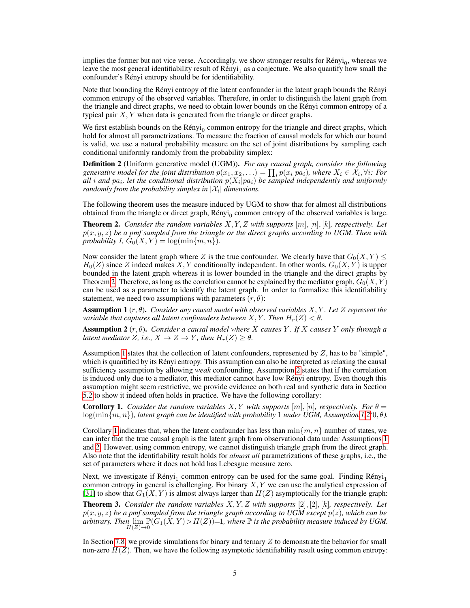implies the former but not vice verse. Accordingly, we show stronger results for Rényi<sub>0</sub>, whereas we leave the most general identifiability result of  $Rényi<sub>1</sub>$  as a conjecture. We also quantify how small the confounder's Rényi entropy should be for identifiability.

Note that bounding the Rényi entropy of the latent confounder in the latent graph bounds the Rényi common entropy of the observed variables. Therefore, in order to distinguish the latent graph from the triangle and direct graphs, we need to obtain lower bounds on the Rényi common entropy of a typical pair  $X, Y$  when data is generated from the triangle or direct graphs.

We first establish bounds on the  $Rényi<sub>0</sub>$  common entropy for the triangle and direct graphs, which hold for almost all parametrizations. To measure the fraction of causal models for which our bound is valid, we use a natural probability measure on the set of joint distributions by sampling each conditional uniformly randomly from the probability simplex:

Definition 2 (Uniform generative model (UGM)). *For any causal graph, consider the following* generative model for the joint distribution  $p(x_1, x_2, ...)$  =  $\prod_i p(x_i|pa_i)$ , where  $X_i \in \mathcal{X}_i, \forall i$ : For all i and  $pa_i$ , let the conditional distribution  $p(X_i|pa_i)$  be sampled independently and uniformly *randomly from the probability simplex in*  $|\mathcal{X}_i|$  *dimensions.* 

The following theorem uses the measure induced by UGM to show that for almost all distributions obtained from the triangle or direct graph,  $Rényi<sub>0</sub>$  common entropy of the observed variables is large.

<span id="page-4-0"></span>Theorem 2. *Consider the random variables* X, Y, Z *with supports* [m], [n], [k]*, respectively. Let*  $p(x, y, z)$  be a pmf sampled from the triangle or the direct graphs according to UGM. Then with *probability 1,*  $G_0(X, Y) = \log(\min\{m, n\})$ *.* 

Now consider the latent graph where Z is the true confounder. We clearly have that  $G_0(X, Y) \leq$  $H_0(Z)$  since Z indeed makes X, Y conditionally independent. In other words,  $G_0(X, Y)$  is upper bounded in the latent graph whereas it is lower bounded in the triangle and the direct graphs by Theorem [2.](#page-4-0) Therefore, as long as the correlation cannot be explained by the mediator graph,  $G_0(X, Y)$ can be used as a parameter to identify the latent graph. In order to formalize this identifiability statement, we need two assumptions with parameters  $(r, \theta)$ :

<span id="page-4-1"></span>Assumption 1 (r, θ). *Consider any causal model with observed variables* X, Y *. Let* Z *represent the variable that captures all latent confounders between*  $X, Y$ *. Then*  $H_r(Z) < \theta$ *.* 

<span id="page-4-2"></span>Assumption 2 (r, θ). *Consider a causal model where* X *causes* Y *. If* X *causes* Y *only through a latent mediator* Z, *i.e.*,  $X \to Z \to Y$ *, then*  $H_r(Z) \geq \theta$ *.* 

Assumption [1](#page-4-1) states that the collection of latent confounders, represented by Z, has to be "simple", which is quantified by its Rényi entropy. This assumption can also be interpreted as relaxing the causal sufficiency assumption by allowing *weak* confounding. Assumption [2](#page-4-2) states that if the correlation is induced only due to a mediator, this mediator cannot have low Rényi entropy. Even though this assumption might seem restrictive, we provide evidence on both real and synthetic data in Section [5.2](#page-6-0) to show it indeed often holds in practice. We have the following corollary:

<span id="page-4-3"></span>**Corollary 1.** *Consider the random variables*  $X, Y$  *with supports*  $[m], [n]$ *, respectively. For*  $\theta =$ log(min{m, n})*, latent graph can be identified with probability* 1 *under UGM, Assumption [1](#page-4-1)[,2\(](#page-4-2)*0, θ*).*

Corollary [1](#page-4-3) indicates that, when the latent confounder has less than  $\min\{m, n\}$  number of states, we can infer that the true causal graph is the latent graph from observational data under Assumptions [1](#page-4-1) and [2.](#page-4-2) However, using common entropy, we cannot distinguish triangle graph from the direct graph. Also note that the identifiability result holds for *almost all* parametrizations of these graphs, i.e., the set of parameters where it does not hold has Lebesgue measure zero.

Next, we investigate if  $\text{Rényi}_1$  common entropy can be used for the same goal. Finding  $\text{Rényi}_1$ common entropy in general is challenging. For binary  $X, Y$  we can use the analytical expression of [\[31\]](#page-10-9) to show that  $G_1(X, Y)$  is almost always larger than  $H(Z)$  asymptotically for the triangle graph:

Theorem 3. *Consider the random variables* X, Y, Z *with supports* [2], [2], [k]*, respectively. Let* p(x, y, z) *be a pmf sampled from the triangle graph according to UGM except* p(z)*, which can be* arbitrary. Then  $\lim_{H(Z)\to 0} \mathbb{P}(\hat{G}_1(X,Y) > H(Z)) = 1$ , where  $\mathbb P$  is the probability measure induced by UGM.

In Section [7.8,](#page--1-3) we provide simulations for binary and ternary  $Z$  to demonstrate the behavior for small non-zero  $H(Z)$ . Then, we have the following asymptotic identifiability result using common entropy: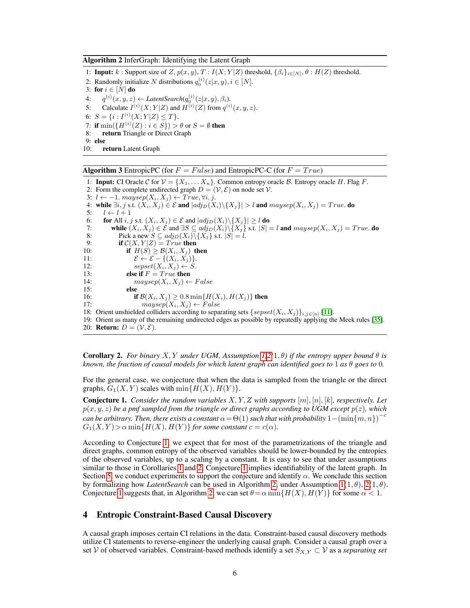Algorithm 2 InferGraph: Identifying the Latent Graph

1: **Input:** k : Support size of Z,  $p(x, y)$ ,  $T : I(X; Y|Z)$  threshold,  $\{\beta_i\}_{i \in [N]}, \theta : H(Z)$  threshold. 2: Randomly initialize N distributions  $q_0^{(i)}(z|x,y), i \in [N]$ . 3: for  $i \in [N]$  do 4:  $q^{(i)}(x, y, z) \leftarrow LatentSearch(q_0^{(i)}(z|x, y), \beta_i).$ 5: Calculate  $I^{(i)}(X;Y|Z)$  and  $H^{(i)}(Z)$  from  $q^{(i)}(x,y,z)$ . 6:  $S = \{i : I^{(i)}(X;Y|Z) \leq T\}.$ 7: if  $\min(\{H^{(i)}(Z): i \in S\}) > \theta$  or  $S = \emptyset$  then 8: return Triangle or Direct Graph 9: else 10: return Latent Graph

<span id="page-5-1"></span>**Algorithm 3** EntropicPC (for  $F = False$ ) and EntropicPC-C (for  $F = True$ )

1: **Input:** CI Oracle C for  $V = \{X_1, \ldots, X_n\}$ . Common entropy oracle B. Entropy oracle H. Flag F. 2: Form the complete undirected graph  $D = (V, \mathcal{E})$  on node set V. 3:  $l \leftarrow -1$ . maysep( $X_i, X_j$ ) ← True,  $\forall i, j$ . 4: while  $\exists i, j$  s.t.  $(X_i, X_j) \in \mathcal{E}$  and  $|adj_D(X_i) \setminus \{X_j\}| > l$  and  $maysep(X_i, X_j) = True$ . do 5:  $l \leftarrow l + 1$ 6: **for** All *i*, *j* s.t.  $(X_i, X_j) \in \mathcal{E}$  and  $|adj_D(X_i) \setminus \{X_j\}| \ge l$  do 7: while  $(X_i, X_j) \in \mathcal{E}$  and  $\exists S \subseteq adj_D(X_i) \setminus \{X_j\}$  s.t.  $|S| = l$  and  $maysep(X_i, X_j) = True$ . do <br>8: Pick a new  $S \subseteq adj_D(X_i) \setminus \{X_j\}$  s.t.  $|S| = l$ . Pick a new  $S \subseteq adj_D(X_i) \backslash \{X_j\}$  s.t.  $|S| = l$ . 9: **if**  $C(X, Y|Z) = True$  then 10: **if**  $H(S) \geq \mathcal{B}(X_i, X_j)$  then 11:  $\mathcal{E} \leftarrow \mathcal{E} - \{(X_i, X_j)\}.$ 12:  $\text{sepset}(X_i, X_j) \leftarrow S$ . 13: **else if**  $F = True$  then 14:  $maysep(X_i, X_j) \leftarrow False$ 15: else 16: **if**  $\mathcal{B}(X_i, X_j) \ge 0.8 \min\{H(X_i), H(X_j)\}\)$  then 17:  $maysep(X_i, X_j) \leftarrow False$ 18: Orient unshielded colliders according to separating sets  $\{sepset(X_i, X_j)\}_{i,j\in[n]}$  [\[11\]](#page-9-3). 19: Orient as many of the remaining undirected edges as possible by repeatedly applying the Meek rules [\[35\]](#page-10-3). 20: **Return:**  $D = (\mathcal{V}, \mathcal{E})$ .

<span id="page-5-4"></span><span id="page-5-3"></span>**Corollary 2.** For binary X, Y under UGM, Assumption [1,](#page-4-1)[2\(](#page-4-2)1,  $\theta$ ) if the entropy upper bound  $\theta$  is *known, the fraction of causal models for which latent graph can identified goes to* 1 *as*  $\theta$  *goes to* 0*.* 

For the general case, we conjecture that when the data is sampled from the triangle or the direct graphs,  $G_1(X, Y)$  scales with  $\min\{H(X), H(Y)\}.$ 

<span id="page-5-2"></span>Conjecture 1. *Consider the random variables* X, Y, Z *with supports* [m], [n], [k]*, respectively. Let*  $p(x, y, z)$  *be a pmf sampled from the triangle or direct graphs according to UGM except*  $p(z)$ *, which*  $c$ an be arbitrary. Then, there exists a constant  $\alpha \! = \! \Theta(1)$  such that with probability  $1\! -\!(\min\{m,n\})^{-c}$  $G_1(X, Y) > \alpha \min\{H(X), H(Y)\}$  *for some constant*  $c = c(\alpha)$ *.* 

According to Conjecture [1,](#page-5-2) we expect that for most of the parametrizations of the triangle and direct graphs, common entropy of the observed variables should be lower-bounded by the entropies of the observed variables, up to a scaling by a constant. It is easy to see that under assumptions similar to those in Corollaries [1](#page-4-3) and [2,](#page-5-3) Conjecture [1](#page-5-2) implies identifiability of the latent graph. In Section [5,](#page-6-1) we conduct experiments to support the conjecture and identify  $\alpha$ . We conclude this section by formalizing how *LatentSearch* can be used in Algorithm [2,](#page-5-1) under Assumption  $1(1, \theta)$ ,  $2(1, \theta)$ . Conjecture [1](#page-5-2) suggests that, in Algorithm [2,](#page-5-1) we can set  $\theta = \alpha \min\{H(X), H(Y)\}$  for some  $\alpha < 1$ .

## <span id="page-5-0"></span>4 Entropic Constraint-Based Causal Discovery

A causal graph imposes certain CI relations in the data. Constraint-based causal discovery methods utilize CI statements to reverse-engineer the underlying causal graph. Consider a causal graph over a set V of observed variables. Constraint-based methods identify a set  $S_{X,Y} \subset V$  as a *separating set*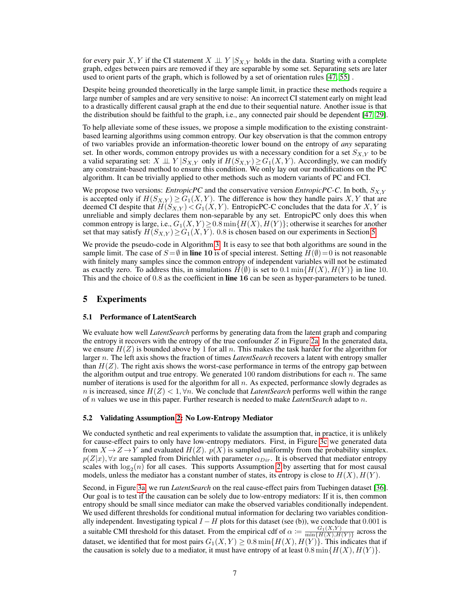for every pair X, Y if the CI statement  $X \perp \!\!\!\perp Y | S_{X,Y}$  holds in the data. Starting with a complete graph, edges between pairs are removed if they are separable by some set. Separating sets are later used to orient parts of the graph, which is followed by a set of orientation rules [\[47,](#page-11-1) [55\]](#page-11-5) .

Despite being grounded theoretically in the large sample limit, in practice these methods require a large number of samples and are very sensitive to noise: An incorrect CI statement early on might lead to a drastically different causal graph at the end due to their sequential nature. Another issue is that the distribution should be faithful to the graph, i.e., any connected pair should be dependent [\[47,](#page-11-1) [29\]](#page-10-10).

To help alleviate some of these issues, we propose a simple modification to the existing constraintbased learning algorithms using common entropy. Our key observation is that the common entropy of two variables provide an information-theoretic lower bound on the entropy of *any* separating set. In other words, common entropy provides us with a necessary condition for a set  $S_{X,Y}$  to be a valid separating set:  $X \perp \!\!\! \perp Y | S_{X,Y}$  only if  $H(S_{X,Y}) \geq G_1(X,Y)$ . Accordingly, we can modify any constraint-based method to ensure this condition. We only lay out our modifications on the PC algorithm. It can be trivially applied to other methods such as modern variants of PC and FCI.

We propose two versions: *EntropicPC* and the conservative version *EntropicPC-C*. In both,  $S_{X,Y}$ is accepted only if  $H(S_{X,Y}) \geq G_1(X,Y)$ . The difference is how they handle pairs X, Y that are deemed CI despite that  $H(S_{X,Y}) < G_1(X,Y)$ . EntropicPC-C concludes that the data for X, Y is unreliable and simply declares them non-separable by any set. EntropicPC only does this when common entropy is large, i.e.,  $G_1(X, Y) \geq 0.8 \min\{H(X), H(Y)\}$ ; otherwise it searches for another set that may satisfy  $H(S_{X,Y}) \geq G_1(X,Y)$ . 0.8 is chosen based on our experiments in Section [5.](#page-6-1)

We provide the pseudo-code in Algorithm [3.](#page-5-4) It is easy to see that both algorithms are sound in the sample limit. The case of  $S = \emptyset$  in line 10 is of special interest. Setting  $H(\emptyset) = 0$  is not reasonable with finitely many samples since the common entropy of independent variables will not be estimated as exactly zero. To address this, in simulations  $H(\emptyset)$  is set to 0.1 min{ $H(X)$ ,  $H(Y)$ } in line 10. This and the choice of 0.8 as the coefficient in line 16 can be seen as hyper-parameters to be tuned.

## <span id="page-6-1"></span>5 Experiments

#### <span id="page-6-2"></span>5.1 Performance of LatentSearch

We evaluate how well *LatentSearch* performs by generating data from the latent graph and comparing the entropy it recovers with the entropy of the true confounder  $Z$  in Figure [2a.](#page-7-3) In the generated data, we ensure  $H(Z)$  is bounded above by 1 for all n. This makes the task harder for the algorithm for larger n. The left axis shows the fraction of times *LatentSearch* recovers a latent with entropy smaller than  $H(Z)$ . The right axis shows the worst-case performance in terms of the entropy gap between the algorithm output and true entropy. We generated  $100$  random distributions for each  $n$ . The same number of iterations is used for the algorithm for all  $n$ . As expected, performance slowly degrades as n is increased, since  $H(Z) < 1$ ,  $\forall n$ . We conclude that *LatentSearch* performs well within the range of n values we use in this paper. Further research is needed to make *LatentSearch* adapt to n.

#### <span id="page-6-0"></span>5.2 Validating Assumption [2:](#page-4-2) No Low-Entropy Mediator

We conducted synthetic and real experiments to validate the assumption that, in practice, it is unlikely for cause-effect pairs to only have low-entropy mediators. First, in Figure [3c](#page-7-2) we generated data from  $X \to Z \to Y$  and evaluated  $H(Z)$ .  $p(X)$  is sampled uniformly from the probability simplex.  $p(Z|x), \forall x$  are sampled from Dirichlet with parameter  $\alpha_{Dir}$ . It is observed that mediator entropy scales with  $\log_2(n)$  for all cases. This supports Assumption [2](#page-4-2) by asserting that for most causal models, unless the mediator has a constant number of states, its entropy is close to  $H(X)$ ,  $H(Y)$ .

Second, in Figure [3a,](#page-7-2) we run *LatentSearch* on the real cause-effect pairs from Tuebingen dataset [\[36\]](#page-10-11). Our goal is to test if the causation can be solely due to low-entropy mediators: If it is, then common entropy should be small since mediator can make the observed variables conditionally independent. We used different thresholds for conditional mutual information for declaring two variables conditionally independent. Investigating typical  $I - H$  plots for this dataset (see (b)), we conclude that 0.001 is a suitable CMI threshold for this dataset. From the empirical cdf of  $\alpha := \frac{G_1(X,Y)}{\min\{H(X),H(Y)\}}$  across the dataset, we identified that for most pairs  $G_1(X, Y) \ge 0.8 \min\{H(X), H(Y)\}\.$  This indicates that if the causation is solely due to a mediator, it must have entropy of at least  $0.8 \min\{H(X), H(Y)\}\$ .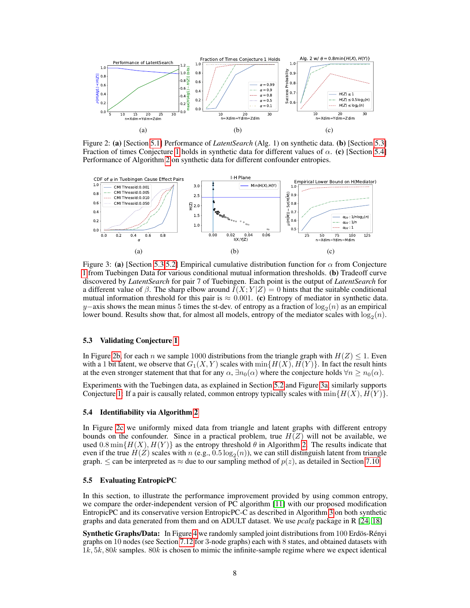<span id="page-7-3"></span>

Figure 2: (a) [Section [5.1\]](#page-6-2) Performance of *LatentSearch* (Alg. 1) on synthetic data. (b) [Section [5.3\]](#page-7-0) Fraction of times Conjecture [1](#page-5-2) holds in synthetic data for different values of  $\alpha$ . (c) [Section [5.4\]](#page-7-4) Performance of Algorithm [2](#page-5-1) on synthetic data for different confounder entropies.

<span id="page-7-2"></span>

Figure 3: (a) [Section [5.3,](#page-7-0)[5.2\]](#page-6-0) Empirical cumulative distribution function for  $\alpha$  from Conjecture [1](#page-5-2) from Tuebingen Data for various conditional mutual information thresholds. (b) Tradeoff curve discovered by *LatentSearch* for pair 7 of Tuebingen. Each point is the output of *LatentSearch* for a different value of  $\beta$ . The sharp elbow around  $I(X; Y|Z) = 0$  hints that the suitable conditional mutual information threshold for this pair is  $\approx 0.001$ . (c) Entropy of mediator in synthetic data. y–axis shows the mean minus 5 times the st-dev. of entropy as a fraction of  $\log_2(n)$  as an empirical lower bound. Results show that, for almost all models, entropy of the mediator scales with  $\log_2(n)$ .

#### <span id="page-7-0"></span>5.3 Validating Conjecture [1](#page-5-2)

In Figure [2b,](#page-7-3) for each n we sample 1000 distributions from the triangle graph with  $H(Z) < 1$ . Even with a 1 bit latent, we observe that  $G_1(X, Y)$  scales with  $\min\{H(X), H(Y)\}\$ . In fact the result hints at the even stronger statement that that for any  $\alpha$ ,  $\exists n_0(\alpha)$  where the conjecture holds  $\forall n \geq n_0(\alpha)$ .

Experiments with the Tuebingen data, as explained in Section [5.2](#page-6-0) and Figure [3a,](#page-7-2) similarly supports Conjecture [1:](#page-5-2) If a pair is causally related, common entropy typically scales with  $\min\{H(X), H(Y)\}\$ .

#### <span id="page-7-4"></span>5.4 Identifiability via Algorithm [2](#page-5-1)

In Figure [2c](#page-7-3) we uniformly mixed data from triangle and latent graphs with different entropy bounds on the confounder. Since in a practical problem, true  $H(Z)$  will not be available, we used 0.8 min $\{H(X), H(Y)\}$  as the entropy threshold  $\theta$  in Algorithm [2.](#page-5-1) The results indicate that even if the true  $H(Z)$  scales with  $n$  (e.g.,  $0.5 \log_2(n)$ ), we can still distinguish latent from triangle graph.  $\leq$  can be interpreted as  $\approx$  due to our sampling method of  $p(z)$ , as detailed in Section [7.10.](#page--1-4)

#### <span id="page-7-1"></span>5.5 Evaluating EntropicPC

In this section, to illustrate the performance improvement provided by using common entropy, we compare the order-independent version of PC algorithm [\[11\]](#page-9-3) with our proposed modification EntropicPC and its conservative version EntropicPC-C as described in Algorithm [3](#page-5-4) on both synthetic graphs and data generated from them and on ADULT dataset. We use *pcalg* package in R [\[24,](#page-10-12) [18\]](#page-10-13)

Synthetic Graphs/Data: In Figure [4](#page-8-0) we randomly sampled joint distributions from 100 Erdös-Rényi graphs on 10 nodes (see Section [7.12](#page--1-5) for 3-node graphs) each with 8 states, and obtained datasets with  $1k, 5k, 80k$  samples.  $80k$  is chosen to mimic the infinite-sample regime where we expect identical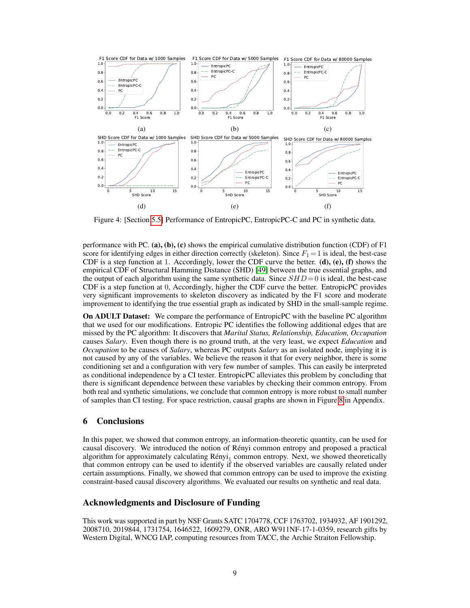<span id="page-8-0"></span>

Figure 4: [Section [5.5\]](#page-7-1) Performance of EntropicPC, EntropicPC-C and PC in synthetic data.

performance with PC. (a), (b), (c) shows the empirical cumulative distribution function (CDF) of F1 score for identifying edges in either direction correctly (skeleton). Since  $F_1 = 1$  is ideal, the best-case CDF is a step function at 1. Accordingly, lower the CDF curve the better.  $(d)$ ,  $(e)$ ,  $(f)$  shows the empirical CDF of Structural Hamming Distance (SHD) [\[49\]](#page-11-10) between the true essential graphs, and the output of each algorithm using the same synthetic data. Since  $SHD = 0$  is ideal, the best-case CDF is a step function at 0, Accordingly, higher the CDF curve the better. EntropicPC provides very significant improvements to skeleton discovery as indicated by the F1 score and moderate improvement to identifying the true essential graph as indicated by SHD in the small-sample regime.

On ADULT Dataset: We compare the performance of EntropicPC with the baseline PC algorithm that we used for our modifications. Entropic PC identifies the following additional edges that are missed by the PC algorithm: It discovers that *Marital Status, Relationship, Education, Occupation* causes *Salary*. Even though there is no ground truth, at the very least, we expect *Education* and *Occupation* to be causes of *Salary*, whereas PC outputs *Salary* as an isolated node, implying it is not caused by any of the variables. We believe the reason it that for every neighbor, there is some conditioning set and a configuration with very few number of samples. This can easily be interpreted as conditional independence by a CI tester. EntropicPC alleviates this problem by concluding that there is significant dependence between these variables by checking their common entropy. From both real and synthetic simulations, we conclude that common entropy is more robust to small number of samples than CI testing. For space restriction, causal graphs are shown in Figure [8](#page--1-6) in Appendix.

## 6 Conclusions

In this paper, we showed that common entropy, an information-theoretic quantity, can be used for causal discovery. We introduced the notion of Rényi common entropy and proposed a practical algorithm for approximately calculating  $Rényi<sub>1</sub>$  common entropy. Next, we showed theoretically that common entropy can be used to identify if the observed variables are causally related under certain assumptions. Finally, we showed that common entropy can be used to improve the existing constraint-based causal discovery algorithms. We evaluated our results on synthetic and real data.

## Acknowledgments and Disclosure of Funding

This work was supported in part by NSF Grants SATC 1704778, CCF 1763702, 1934932, AF 1901292, 2008710, 2019844, 1731754, 1646522, 1609279, ONR, ARO W911NF-17-1-0359, research gifts by Western Digital, WNCG IAP, computing resources from TACC, the Archie Straiton Fellowship.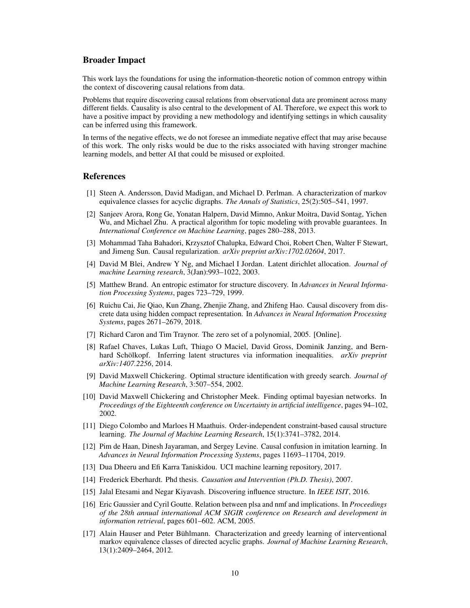## Broader Impact

This work lays the foundations for using the information-theoretic notion of common entropy within the context of discovering causal relations from data.

Problems that require discovering causal relations from observational data are prominent across many different fields. Causality is also central to the development of AI. Therefore, we expect this work to have a positive impact by providing a new methodology and identifying settings in which causality can be inferred using this framework.

In terms of the negative effects, we do not foresee an immediate negative effect that may arise because of this work. The only risks would be due to the risks associated with having stronger machine learning models, and better AI that could be misused or exploited.

## References

- <span id="page-9-4"></span>[1] Steen A. Andersson, David Madigan, and Michael D. Perlman. A characterization of markov equivalence classes for acyclic digraphs. *The Annals of Statistics*, 25(2):505–541, 1997.
- [2] Sanjeev Arora, Rong Ge, Yonatan Halpern, David Mimno, Ankur Moitra, David Sontag, Yichen Wu, and Michael Zhu. A practical algorithm for topic modeling with provable guarantees. In *International Conference on Machine Learning*, pages 280–288, 2013.
- [3] Mohammad Taha Bahadori, Krzysztof Chalupka, Edward Choi, Robert Chen, Walter F Stewart, and Jimeng Sun. Causal regularization. *arXiv preprint arXiv:1702.02604*, 2017.
- [4] David M Blei, Andrew Y Ng, and Michael I Jordan. Latent dirichlet allocation. *Journal of machine Learning research*, 3(Jan):993–1022, 2003.
- [5] Matthew Brand. An entropic estimator for structure discovery. In *Advances in Neural Information Processing Systems*, pages 723–729, 1999.
- [6] Ruichu Cai, Jie Qiao, Kun Zhang, Zhenjie Zhang, and Zhifeng Hao. Causal discovery from discrete data using hidden compact representation. In *Advances in Neural Information Processing Systems*, pages 2671–2679, 2018.
- [7] Richard Caron and Tim Traynor. The zero set of a polynomial, 2005. [Online].
- <span id="page-9-7"></span>[8] Rafael Chaves, Lukas Luft, Thiago O Maciel, David Gross, Dominik Janzing, and Bernhard Schölkopf. Inferring latent structures via information inequalities. *arXiv preprint arXiv:1407.2256*, 2014.
- <span id="page-9-5"></span>[9] David Maxwell Chickering. Optimal structure identification with greedy search. *Journal of Machine Learning Research*, 3:507–554, 2002.
- <span id="page-9-6"></span>[10] David Maxwell Chickering and Christopher Meek. Finding optimal bayesian networks. In *Proceedings of the Eighteenth conference on Uncertainty in artificial intelligence*, pages 94–102, 2002.
- <span id="page-9-3"></span>[11] Diego Colombo and Marloes H Maathuis. Order-independent constraint-based causal structure learning. *The Journal of Machine Learning Research*, 15(1):3741–3782, 2014.
- <span id="page-9-0"></span>[12] Pim de Haan, Dinesh Jayaraman, and Sergey Levine. Causal confusion in imitation learning. In *Advances in Neural Information Processing Systems*, pages 11693–11704, 2019.
- <span id="page-9-9"></span>[13] Dua Dheeru and Efi Karra Taniskidou. UCI machine learning repository, 2017.
- <span id="page-9-2"></span>[14] Frederick Eberhardt. Phd thesis. *Causation and Intervention (Ph.D. Thesis)*, 2007.
- <span id="page-9-8"></span>[15] Jalal Etesami and Negar Kiyavash. Discovering influence structure. In *IEEE ISIT*, 2016.
- [16] Eric Gaussier and Cyril Goutte. Relation between plsa and nmf and implications. In *Proceedings of the 28th annual international ACM SIGIR conference on Research and development in information retrieval*, pages 601–602. ACM, 2005.
- <span id="page-9-1"></span>[17] Alain Hauser and Peter Bühlmann. Characterization and greedy learning of interventional markov equivalence classes of directed acyclic graphs. *Journal of Machine Learning Research*, 13(1):2409–2464, 2012.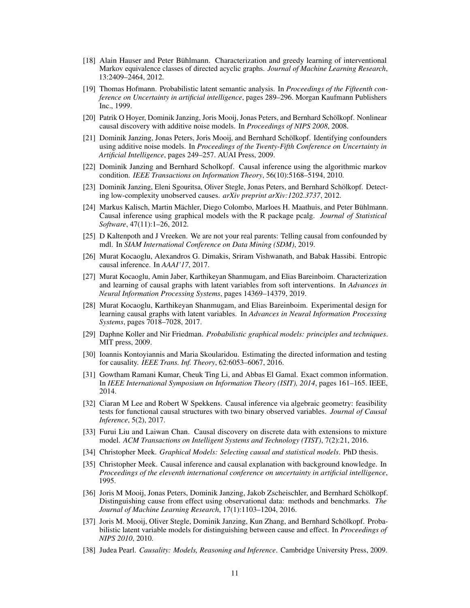- <span id="page-10-13"></span>[18] Alain Hauser and Peter Bühlmann. Characterization and greedy learning of interventional Markov equivalence classes of directed acyclic graphs. *Journal of Machine Learning Research*, 13:2409–2464, 2012.
- [19] Thomas Hofmann. Probabilistic latent semantic analysis. In *Proceedings of the Fifteenth conference on Uncertainty in artificial intelligence*, pages 289–296. Morgan Kaufmann Publishers Inc., 1999.
- <span id="page-10-4"></span>[20] Patrik O Hoyer, Dominik Janzing, Joris Mooij, Jonas Peters, and Bernhard Schölkopf. Nonlinear causal discovery with additive noise models. In *Proceedings of NIPS 2008*, 2008.
- <span id="page-10-6"></span>[21] Dominik Janzing, Jonas Peters, Joris Mooij, and Bernhard Schölkopf. Identifying confounders using additive noise models. In *Proceedings of the Twenty-Fifth Conference on Uncertainty in Artificial Intelligence*, pages 249–257. AUAI Press, 2009.
- [22] Dominik Janzing and Bernhard Scholkopf. Causal inference using the algorithmic markov condition. *IEEE Transactions on Information Theory*, 56(10):5168–5194, 2010.
- [23] Dominik Janzing, Eleni Sgouritsa, Oliver Stegle, Jonas Peters, and Bernhard Schölkopf. Detecting low-complexity unobserved causes. *arXiv preprint arXiv:1202.3737*, 2012.
- <span id="page-10-12"></span>[24] Markus Kalisch, Martin Mächler, Diego Colombo, Marloes H. Maathuis, and Peter Bühlmann. Causal inference using graphical models with the R package pcalg. *Journal of Statistical Software*, 47(11):1–26, 2012.
- [25] D Kaltenpoth and J Vreeken. We are not your real parents: Telling causal from confounded by mdl. In *SIAM International Conference on Data Mining (SDM)*, 2019.
- <span id="page-10-7"></span>[26] Murat Kocaoglu, Alexandros G. Dimakis, Sriram Vishwanath, and Babak Hassibi. Entropic causal inference. In *AAAI'17*, 2017.
- <span id="page-10-2"></span>[27] Murat Kocaoglu, Amin Jaber, Karthikeyan Shanmugam, and Elias Bareinboim. Characterization and learning of causal graphs with latent variables from soft interventions. In *Advances in Neural Information Processing Systems*, pages 14369–14379, 2019.
- <span id="page-10-1"></span>[28] Murat Kocaoglu, Karthikeyan Shanmugam, and Elias Bareinboim. Experimental design for learning causal graphs with latent variables. In *Advances in Neural Information Processing Systems*, pages 7018–7028, 2017.
- <span id="page-10-10"></span>[29] Daphne Koller and Nir Friedman. *Probabilistic graphical models: principles and techniques*. MIT press, 2009.
- <span id="page-10-8"></span>[30] Ioannis Kontoyiannis and Maria Skoularidou. Estimating the directed information and testing for causality. *IEEE Trans. Inf. Theory*, 62:6053–6067, 2016.
- <span id="page-10-9"></span>[31] Gowtham Ramani Kumar, Cheuk Ting Li, and Abbas El Gamal. Exact common information. In *IEEE International Symposium on Information Theory (ISIT), 2014*, pages 161–165. IEEE, 2014.
- [32] Ciaran M Lee and Robert W Spekkens. Causal inference via algebraic geometry: feasibility tests for functional causal structures with two binary observed variables. *Journal of Causal Inference*, 5(2), 2017.
- [33] Furui Liu and Laiwan Chan. Causal discovery on discrete data with extensions to mixture model. *ACM Transactions on Intelligent Systems and Technology (TIST)*, 7(2):21, 2016.
- <span id="page-10-5"></span>[34] Christopher Meek. *Graphical Models: Selecting causal and statistical models*. PhD thesis.
- <span id="page-10-3"></span>[35] Christopher Meek. Causal inference and causal explanation with background knowledge. In *Proceedings of the eleventh international conference on uncertainty in artificial intelligence*, 1995.
- <span id="page-10-11"></span>[36] Joris M Mooij, Jonas Peters, Dominik Janzing, Jakob Zscheischler, and Bernhard Schölkopf. Distinguishing cause from effect using observational data: methods and benchmarks. *The Journal of Machine Learning Research*, 17(1):1103–1204, 2016.
- [37] Joris M. Mooij, Oliver Stegle, Dominik Janzing, Kun Zhang, and Bernhard Schölkopf. Probabilistic latent variable models for distinguishing between cause and effect. In *Proceedings of NIPS 2010*, 2010.
- <span id="page-10-0"></span>[38] Judea Pearl. *Causality: Models, Reasoning and Inference*. Cambridge University Press, 2009.